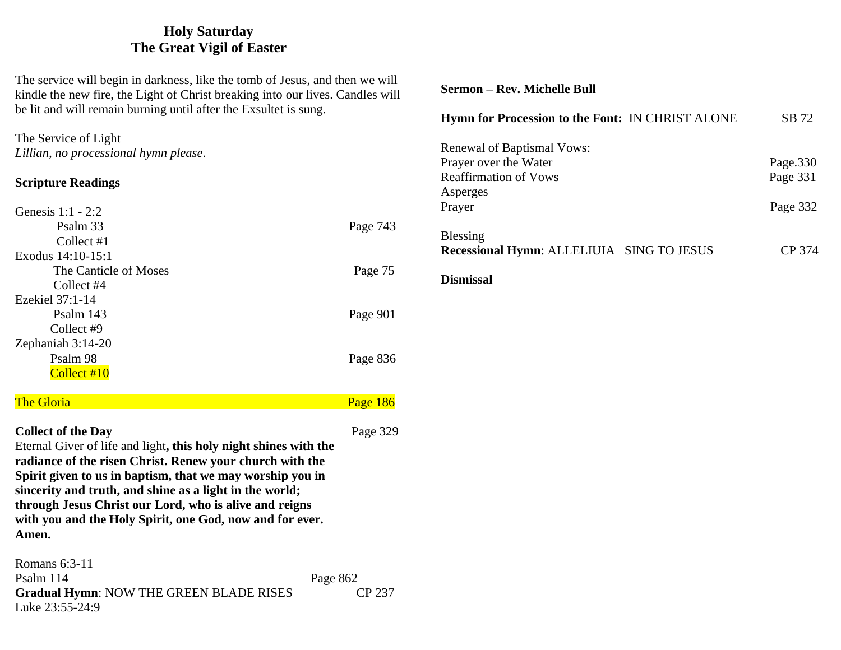## **Holy Saturday The Great Vigil of Easter**

The service will begin in darkness, like the tomb of Jesus, and then we will kindle the new fire, the Light of Christ breaking into our lives. Candles will be lit and will remain burning until after the Exsultet is sung.

### The Service of Light *Lillian, no processional hymn please*.

### **Scripture Readings**

| Genesis $1:1 - 2:2$   |          |
|-----------------------|----------|
| Psalm 33              | Page 743 |
| Collect #1            |          |
| Exodus 14:10-15:1     |          |
| The Canticle of Moses | Page 75  |
| Collect #4            |          |
| Ezekiel 37:1-14       |          |
| Psalm 143             | Page 901 |
| Collect #9            |          |
| Zephaniah 3:14-20     |          |
| Psalm 98              | Page 836 |
| Collect #10           |          |
|                       |          |

# The Gloria **Page 186** The Gloria Page 186

### **Collect of the Day** Page 329

Eternal Giver of life and light**, this holy night shines with the radiance of the risen Christ. Renew your church with the Spirit given to us in baptism, that we may worship you in sincerity and truth, and shine as a light in the world; through Jesus Christ our Lord, who is alive and reigns with you and the Holy Spirit, one God, now and for ever. Amen.**

Romans 6:3-11 Psalm 114 Page 862 Gradual Hymn: NOW THE GREEN BLADE RISES CP 237 Luke 23:55-24:9

### **Sermon – Rev. Michelle Bull**

| <b>Hymn for Procession to the Font: IN CHRIST ALONE</b>                                                   | SB 72                            |
|-----------------------------------------------------------------------------------------------------------|----------------------------------|
| Renewal of Baptismal Vows:<br>Prayer over the Water<br><b>Reaffirmation of Vows</b><br>Asperges<br>Prayer | Page.330<br>Page 331<br>Page 332 |
| <b>Blessing</b><br><b>Recessional Hymn: ALLELIUIA SING TO JESUS</b><br>Dismissal                          | CP 374                           |